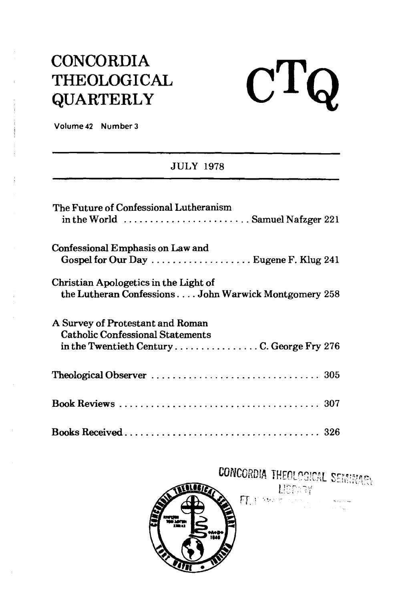## **CONCORDIA THEOLOGICAL QUARTERLY**



**Volume 42 Number 3** 

## JULY 1978

| The Future of Confessional Lutheranism<br>in the World  Samuel Nafzger 221                                               |
|--------------------------------------------------------------------------------------------------------------------------|
| Confessional Emphasis on Law and<br>Gospel for Our Day  Eugene F. Klug 241                                               |
| Christian Apologetics in the Light of<br>the Lutheran Confessions John Warwick Montgomery 258                            |
| A Survey of Protestant and Roman<br><b>Catholic Confessional Statements</b><br>in the Twentieth CenturyC. George Fry 276 |
|                                                                                                                          |
|                                                                                                                          |
|                                                                                                                          |

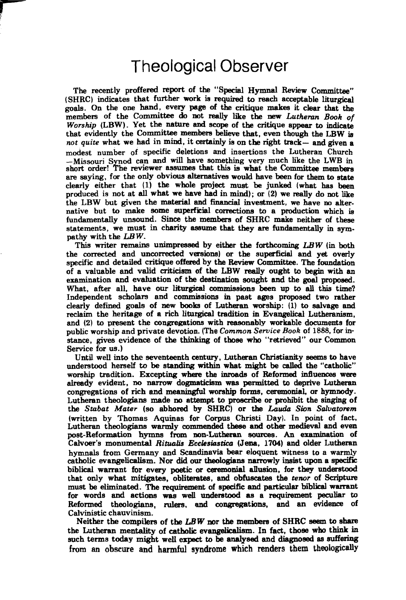## Theological Observer

The recently proffered report of the "Special Hymnal Review Committee" (SHRC) indicates that further work **is** required to **reach** acceptable liturgical **goals.** On the one hand, every **Page** of the critique **makes** it clear that **the**  members of the Committee do not really like the new *Lutheran Book of Worship* (LBW). Yet the nature and scope of the critique appear to indicate that evidently the Committee members believe that, even though the LBW is not *quite* what we had in mind, it **certainly** is on the right track- and given **a**  number of specific deletions and insertions the Lutheran Church -Missouri Synod can and will have something very much like the LWB in short order! The reviewer assumes that this is what the Committee members are **saying,** for the only obvious alternatives would have been for **them** to state clearly either that **(1)** the whole project **must** be junked (what **has been**  produced is not at **all** what we **have** had in mind); or (2) we really do not like the LBW but given the material and **financial** investment, we have no alternative but to make some superficial correctiom to a production which **ie**  fundamentally unsound. Since the members of SHRC make neither of these statements, we must in charity assume that they **are** fundamentally in sympathy with the *LBW.* 

**This** writer remaina unimpressed by either **the** forthcoming *LBW* (in both the corrected and uncorrected versions) or the superficial and yet overly specific and detailed critique offered by the **Review** Committee. The foundation of a valuable and valid criticism of the LBW really ought to **begin** with an examination and evaluation of the destination sought and the goal proposed. What, after all, have our **liturgical** commiseions been up to **all** this time? Independent scholars and commissions in past ages proposed two rather clearly defined **goals** of new **books** of Lutheran worship: (1) to salvage and reclaim the heritage of a rich liturgical tradition in Evangelical Lutheranism, and (2) to present the congregations with reasonably workable documents for public worship and private devotion. (The *Common Seruice Book* of 1888, for instance, gives evidence of **the** thhking of those who "retrieved" our Common Service for **us.)** 

Until well **into** the seventeenth century, Lutheran Christianity **seems** to have understood herself to be standing within what might be called the "catholic" worship tradition. Excepting where the inroads of Reformed influences were already evident, no narrow dogmaticism **was** permitted **tn** deprive Lutheran congregations of rich and **meaningful** worship forms, ceremonial, or **hymnody.**  Lutheran theologians mnde no attempt to **proscribe** or prohiiit the singing of the Stabat Mater (so abhored by SHRC) or the Lauda Sion Salvatorem (written by Thomas Aquinas for Corpus Christi Day). In point of fact, Lutheran theologians warmly commended these **and** other medieval and even post-Reformation **hymns** from non-Lutheran **sources.** An examhation of Calvoer's monumental *Riftcalis Eccfesiastica* **(Jeaa,** 1704) and older Lutheran hymnals from Germany and Scandinavia **bear** eloquent witness to a warmly catholic evangelicalism. Nor did our theologians narrowly insist upon a specific biblical warrant for every poetic or **ceremonial** allusion, for they **understood**  that only what mitigates, obliterates, and obfuscates the *tenor* of Scripture must be eliminated. The requirement of specific and particular biblical warrant for words and actions **was well** understood **as** a requirement **peculiar to**  Reformed theologians, **rulers,** and congregations, and an evidence of Calvinistic chauvinism.

Neither the compilers of the **LB** W nor **the** members of SHRC **seem** to **share**  the Lutheran mentality of catholic evangelicalism. In fact, those who think in such terms today might well expect to be analysed and diagnosed as suffering from an obscure and harmful syndrome which renders them theologically